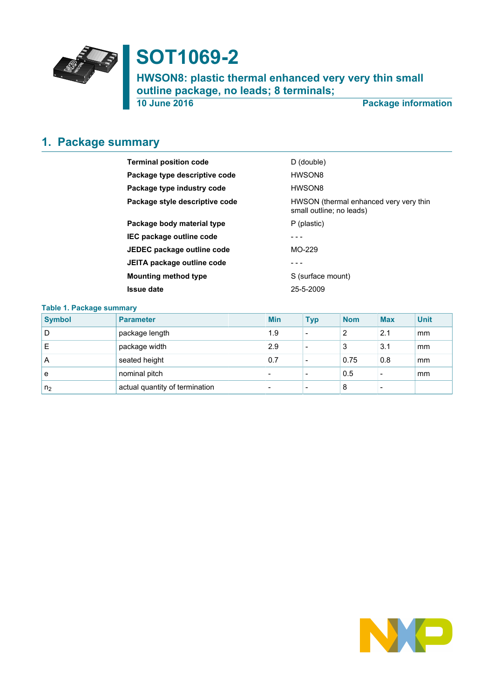

# **SOT1069-2**

**HWSON8: plastic thermal enhanced very very thin small outline package, no leads; 8 terminals;**

**10 June 2016 Package information**

# <span id="page-0-0"></span>**1. Package summary**

| <b>Terminal position code</b>  | D (double)                                                         |
|--------------------------------|--------------------------------------------------------------------|
| Package type descriptive code  | HWSON8                                                             |
| Package type industry code     | HWSON8                                                             |
| Package style descriptive code | HWSON (thermal enhanced very very thin<br>small outline; no leads) |
| Package body material type     | P (plastic)                                                        |
| IEC package outline code       |                                                                    |
| JEDEC package outline code     | $MO-229$                                                           |
| JEITA package outline code     |                                                                    |
| <b>Mounting method type</b>    | S (surface mount)                                                  |
| Issue date                     | 25-5-2009                                                          |
|                                |                                                                    |

#### **Table 1. Package summary**

| <b>Symbol</b>  | <b>Parameter</b>               | <b>Min</b>               | <b>Typ</b>               | <b>Nom</b> | <b>Max</b> | <b>Unit</b> |
|----------------|--------------------------------|--------------------------|--------------------------|------------|------------|-------------|
| D              | package length                 | 1.9                      | $\overline{\phantom{0}}$ | 2          | 2.1        | mm          |
| Е              | package width                  | 2.9                      | $\overline{\phantom{0}}$ | 3          | 3.1        | mm          |
| A              | seated height                  | 0.7                      | -                        | 0.75       | 0.8        | mm          |
| e              | nominal pitch                  | $\overline{\phantom{0}}$ | $\overline{\phantom{0}}$ | 0.5        |            | mm          |
| n <sub>2</sub> | actual quantity of termination | $\overline{\phantom{0}}$ | $\overline{\phantom{0}}$ | 8          |            |             |

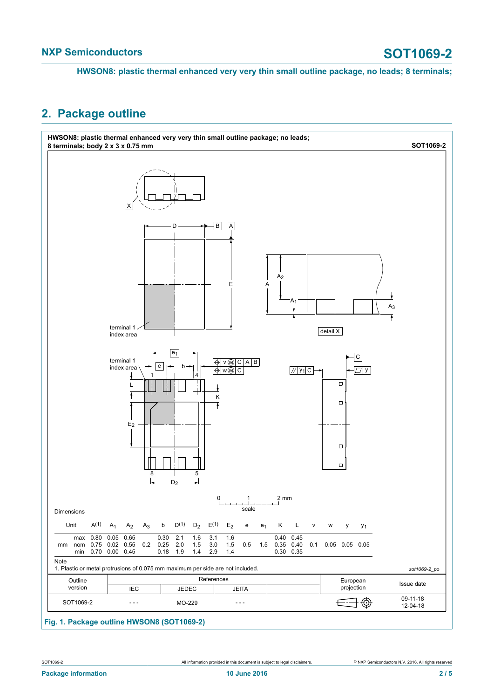### <span id="page-1-0"></span>**2. Package outline**



#### **Fig. 1. Package outline HWSON8 (SOT1069-2)**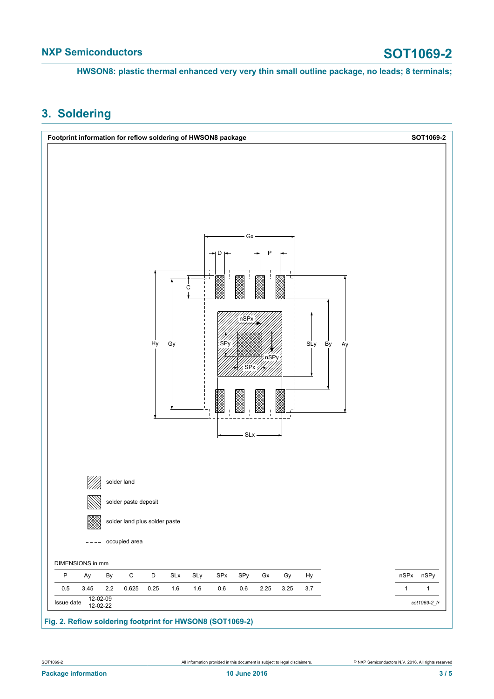## <span id="page-2-0"></span>**3. Soldering**

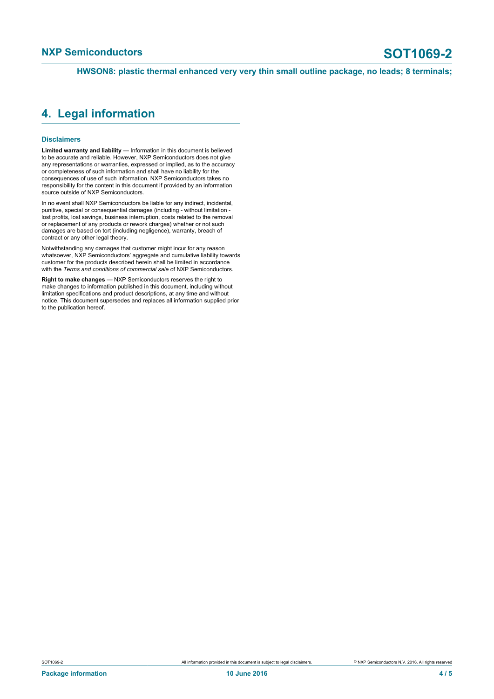#### <span id="page-3-0"></span>**4. Legal information**

#### **Disclaimers**

**Limited warranty and liability** — Information in this document is believed to be accurate and reliable. However, NXP Semiconductors does not give any representations or warranties, expressed or implied, as to the accuracy or completeness of such information and shall have no liability for the consequences of use of such information. NXP Semiconductors takes no responsibility for the content in this document if provided by an information source outside of NXP Semiconductors.

In no event shall NXP Semiconductors be liable for any indirect, incidental, punitive, special or consequential damages (including - without limitation lost profits, lost savings, business interruption, costs related to the removal or replacement of any products or rework charges) whether or not such damages are based on tort (including negligence), warranty, breach of contract or any other legal theory.

Notwithstanding any damages that customer might incur for any reason whatsoever, NXP Semiconductors' aggregate and cumulative liability towards customer for the products described herein shall be limited in accordance with the *Terms and conditions of commercial sale* of NXP Semiconductors.

**Right to make changes** — NXP Semiconductors reserves the right to make changes to information published in this document, including without limitation specifications and product descriptions, at any time and without notice. This document supersedes and replaces all information supplied prior to the publication hereof.